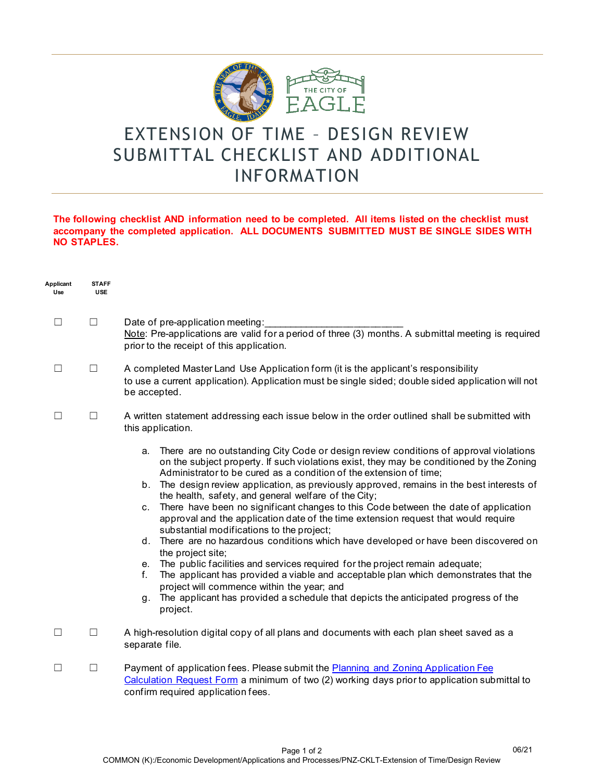

## EXTENSION OF TIME – DESIGN REVIEW SUBMITTAL CHECKLIST AND ADDITIONAL INFORMATION

## **The following checklist AND information need to be completed. All items listed on the checklist must accompany the completed application. ALL DOCUMENTS SUBMITTED MUST BE SINGLE SIDES WITH NO STAPLES.**

| Applicant<br>Use | <b>STAFF</b><br><b>USE</b> |                                                                                                                                                                                                                                                                                                                                                                                                                                                                                                                                                                                                                                                                                                                                                                                                                                                                                                                                                                                                                                                                                                  |
|------------------|----------------------------|--------------------------------------------------------------------------------------------------------------------------------------------------------------------------------------------------------------------------------------------------------------------------------------------------------------------------------------------------------------------------------------------------------------------------------------------------------------------------------------------------------------------------------------------------------------------------------------------------------------------------------------------------------------------------------------------------------------------------------------------------------------------------------------------------------------------------------------------------------------------------------------------------------------------------------------------------------------------------------------------------------------------------------------------------------------------------------------------------|
| <b>I</b>         | $\Box$                     | Date of pre-application meeting:<br>Note: Pre-applications are valid for a period of three (3) months. A submittal meeting is required<br>prior to the receipt of this application.                                                                                                                                                                                                                                                                                                                                                                                                                                                                                                                                                                                                                                                                                                                                                                                                                                                                                                              |
| $\mathcal{L}$    | $\Box$                     | A completed Master Land Use Application form (it is the applicant's responsibility<br>to use a current application). Application must be single sided; double sided application will not<br>be accepted.                                                                                                                                                                                                                                                                                                                                                                                                                                                                                                                                                                                                                                                                                                                                                                                                                                                                                         |
| $\Box$           | $\Box$                     | A written statement addressing each issue below in the order outlined shall be submitted with<br>this application.                                                                                                                                                                                                                                                                                                                                                                                                                                                                                                                                                                                                                                                                                                                                                                                                                                                                                                                                                                               |
|                  |                            | There are no outstanding City Code or design review conditions of approval violations<br>a.<br>on the subject property. If such violations exist, they may be conditioned by the Zoning<br>Administrator to be cured as a condition of the extension of time;<br>b. The design review application, as previously approved, remains in the best interests of<br>the health, safety, and general welfare of the City;<br>c. There have been no significant changes to this Code between the date of application<br>approval and the application date of the time extension request that would require<br>substantial modifications to the project;<br>d. There are no hazardous conditions which have developed or have been discovered on<br>the project site;<br>e. The public facilities and services required for the project remain adequate;<br>The applicant has provided a viable and acceptable plan which demonstrates that the<br>f.<br>project will commence within the year; and<br>g. The applicant has provided a schedule that depicts the anticipated progress of the<br>project. |
| П                | П                          | A high-resolution digital copy of all plans and documents with each plan sheet saved as a<br>separate file.                                                                                                                                                                                                                                                                                                                                                                                                                                                                                                                                                                                                                                                                                                                                                                                                                                                                                                                                                                                      |
| П                | $\Box$                     | Payment of application fees. Please submit the Planning and Zoning Application Fee<br>Calculation Request Form a minimum of two (2) working days prior to application submittal to<br>confirm required application fees.                                                                                                                                                                                                                                                                                                                                                                                                                                                                                                                                                                                                                                                                                                                                                                                                                                                                         |

06/21